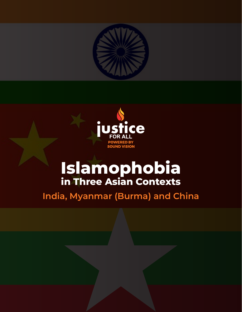



# **Islamophobia in Three Asian Contexts**

**India, Myanmar (Burma) and China**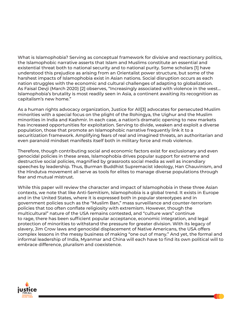What is Islamophobia? Serving as conceptual framework for divisive and reactionary politics, the Islamophobic narrative asserts that Islam and Muslims constitute an essential and existential threat both to national security and to national purity. Some scholars [1] have understood this prejudice as arising from an Orientalist power structure, but some of the harshest impacts of Islamophobia exist in Asian nations. Social disruption occurs as each nation struggles with the economic and cultural challenges of adapting to globalization. As Faisal Devji (March 2020) [2] observes, "Increasingly associated with violence in the west… Islamophobia's brutality is most readily seen in Asia, a continent awaiting its recognition as capitalism's new home."

As a human rights advocacy organization, Justice for All[3] advocates for persecuted Muslim minorities with a special focus on the plight of the Rohingya, the Uighur and the Muslim minorities in India and Kashmir. In each case, a nation's dramatic opening to new markets has increased opportunities for exploitation. Serving to divide, weaken and exploit a diverse population, those that promote an Islamophobic narrative frequently link it to a securitization framework. Amplifying fears of real and imagined threats, an authoritarian and even paranoid mindset manifests itself both in military force and mob violence.

Therefore, though contributing social and economic factors exist for exclusionary and even genocidal policies in these areas, Islamophobia drives popular support for extreme and destructive social policies, magnified by grassroots social media as well as incendiary speeches by leadership. Thus, Burman Buddhist Supremacist ideology, Han Chauvinism, and the Hindutva movement all serve as tools for elites to manage diverse populations through fear and mutual mistrust.

While this paper will review the character and impact of Islamophobia in these three Asian contexts, we note that like Anti-Semitism, Islamophobia is a global trend. It exists in Europe and in the United States, where it is expressed both in popular stereotypes and in government policies such as the "Muslim Ban," mass surveillance and counter-terrorism policies that too often conflate religiosity with extremism. However, though the multicultural" nature of the USA remains contested, and "culture wars" continue to rage, there has been sufficient popular acceptance, economic integration, and legal protection of minorities to withstand the pressure for greater division. With its legacy of slavery, Jim Crow laws and genocidal displacement of Native Americans, the USA offers complex lessons in the messy business of making "one out of many." And yet, the formal and informal leadership of India, Myanmar and China will each have to find its own political will to embrace difference, pluralism and coexistence.

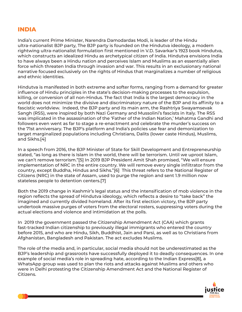#### **INDIA**

India's current Prime Minister, Narendra Damodardas Modi, is leader of the Hindu ultra-nationalist BJP party, The BJP party is founded on the Hindutva ideology, a modern rightwing ultra-nationalist formulation first mentioned in V.D. Savarkar's 1923 book Hindutva, which constructs an idealized Hindu as archetypical citizen of India. Hindutva envisions India to have always been a Hindu nation and perceives Islam and Muslims as an essentially alien force which threaten India through invasion and war. This results in an exclusionary national narrative focused exclusively on the rights of Hindus that marginalizes a number of religious and ethnic identities.

Hindutva is manifested in both extreme and softer forms, ranging from a demand for greater influence of Hindu principles in the state's decision-making processes to the expulsion, killing, or conversion of all non-Hindus. The fact that India is the largest democracy in the world does not minimize the divisive and discriminatory nature of the BJP and its affinity to a fascistic worldview. Indeed, the BJP party and its main arm, the Rashtriya Swayamsevak Sangh (RSS), were inspired by both Nazi Germany and Mussolini's fascists in Italy. The RSS was implicated in the assassination of the 'Father of the Indian Nation,' Mahatma Gandhi and followers even went as far to stage a re-enactment and celebrate the murder's success on the 71st anniversary. The BJP's platform and India's policies use fear and demonization to target marginalized populations including Christians, Dalits (lower caste Hindus), Muslims, and Sikhs.[4]

In a speech from 2016, the BJP Minister of State for Skill Development and Entrepreneurship stated, "as long as there is Islam in the world, there will be terrorism. Until we uproot Islam, we can't remove terrorism."[5] In 2019 BJP President Amit Shah promised, "We will ensure implementation of NRC in the entire country. We will remove every single infiltrator from the country, except Buddha, Hindus and Sikhs."[6] This threat refers to the National Register of Citizens (NRC) in the state of Assam, used to purge the region and sent 1.9 million now stateless people to detention centers.[7]

Both the 2019 change in Kashmir's legal status and the intensification of mob violence in the region reflects the spread of Hindutva ideology, which reflects a desire to "take back" the imagined and currently divided homeland. After its first election victory, the BJP party undertook massive purges of voters from the electoral rosters, suppressing voters during the actual elections and violence and intimidation at the polls.

In 2019 the government passed the Citizenship Amendment Act (CAA) which grants fast-tracked Indian citizenship to previously illegal immigrants who entered the country before 2015, and who are Hindu, Sikh, Buddhist, Jain and Parsi, as well as to Christians from Afghanistan, Bangladesh and Pakistan. The act excludes Muslims.

The role of the media and, in particular, social media should not be underestimated as the BJP's leadership and grassroots have successfully deployed it to deadly consequences. In one example of social media's role in spreading hate, according to the Indian Express[8], a WhatsApp group was used to plan the riots and attacks against Muslims and others who were in Delhi protesting the Citizenship Amendment Act and the National Register of Citizens.

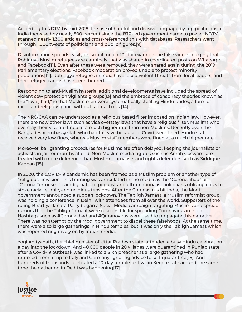According to NDTV, by mid-2019, the use of hateful and divisive language by top politicians in India increased by nearly 500 percent since the BJP-led government came to power. NDTV scanned nearly 1,300 articles and cross-referenced this with databases. Researchers went through 1,000 tweets of politicians and public figures.[9]

Disinformation spreads easily on social media[10], for example the false videos alleging that Rohingya Muslim refugees are cannibals that was shared in coordinated posts on WhatsApp and Facebook[11]. Even after these were removed, they were shared again during the 2019 Parliamentary elections. Facebook moderation proved unable to protect minority populations[12]. Rohingya refugees in India have faced violent threats from local leaders, and their refugee camps have been burned.

Responding to anti-Muslim hysteria, additional developments have included the spread of violent cow protection vigilante groups[13] and the embrace of conspiracy theories known as the "love jihad," ie that Muslim men were systematically stealing Hindu brides, a form of racial and religious panic without factual basis.[14]

The NRC/CAA can be understood as a religious based filter imposed on Indian law. However, there are now other laws such as visa overstay laws that have a religious filter. Muslims who overstay their visa are fined at a much higher rate than non-Muslims. Recently even the Bangladeshi embassy staff who had to leave because of Covid were fined. Hindu staff received very low fines, whereas Muslim staff members were fined at a much higher rate.

Moreover, bail granting procedures for Muslims are often delayed, keeping the journalists or activists in jail for months at end. Non-Muslim media figures such as Arnab Goswami are treated with more deference than Muslim journalists and rights defenders such as Siddique Kappan.[15]

In 2020, the COVID-19 pandemic has been framed as a Muslim problem or another type of "religious" invasion. This framing was articulated in the media as the "CoronaJihad" or "Corona Terrorism," paradigmatic of populist and ultra-nationalist politicians utilizing crisis to stoke racial, ethnic, and religious tensions. After the Coronavirus hit India, the Modi government announced a sudden lockdown. The Tabligh Jamaat, a Muslim reformist group, was holding a conference in Delhi, with attendees from all over the world. Supporters of the ruling Bhartiya Janata Party began a Social Media campaign targeting Muslims and spread rumors that the Tabligh Jamaat were responsible for spreading Coronavirus in India. Hashtags such as #Coronajihad and #Quranovirus were used to propagate this narrative. There was no attempt by the Modi government to dispel these falsehoods. At the same time, there were also large gatherings in Hindu temples, but it was only the Tabligh Jamaat which was reported negatively on by Indian media.

Yogi Adityanath, the chief minister of Uttar Pradesh state, attended a busy Hindu celebration a day into the lockdown. And 40,000 people in 20 villages were quarantined in Punjab state after a Covid-19 outbreak was linked to a Sikh preacher at a large gathering who had returned from a trip to Italy and Germany, ignoring advice to self-quarantine[16]. And hundreds of thousands celebrated a 10-day temple festival in Kerala state around the same time the gathering in Delhi was happening[17].

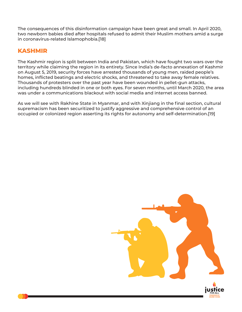The consequences of this disinformation campaign have been great and small. In April 2020, two newborn babies died after hospitals refused to admit their Muslim mothers amid a surge in coronavirus-related Islamophobia.[18]

## **KASHMIR**

The Kashmir region is split between India and Pakistan, which have fought two wars over the territory while claiming the region in its entirety. Since India's de-facto annexation of Kashmir on August 5, 2019, security forces have arrested thousands of young men, raided people's homes, inflicted beatings and electric shocks, and threatened to take away female relatives. Thousands of protesters over the past year have been wounded in pellet-gun attacks, including hundreds blinded in one or both eyes. For seven months, until March 2020, the area was under a communications blackout with social media and internet access banned.

As we will see with Rakhine State in Myanmar, and with Xinjiang in the final section, cultural supremacism has been securitized to justify aggressive and comprehensive control of an occupied or colonized region asserting its rights for autonomy and self-determination.[19]

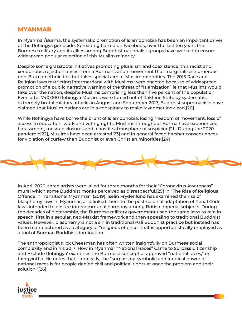#### **MYANMAR**

In Myanmar/Burma, the systematic promotion of Islamophobia has been an important driver of the Rohingya genocide. Spreading hatred on Facebook, over the last ten years the Burmese military and its allies among Buddhist nationalist groups have worked to ensure widespread popular rejection of this Muslim minority.

Despite some grassroots initiatives promoting pluralism and coexistence, this racist and xenophobic rejection arises from a Burmanization movement that marginalizes numerous non-Burman ethnicities but takes special aim at Muslim minorities. The 2015 Race and Religion laws restricting intermarriage with Muslims were enacted because of widespread promotion of a public narrative warning of the threat of "Islamization" ie that Muslims would take over the nation, despite Muslims comprising less than five percent of the population. Even after 740,000 Rohingya Muslims were forced out of Rakhine State by systematic, extremely brutal military attacks in August and September 2017, Buddhist supremacists have claimed that Muslim nations are in a conspiracy to make Myanmar look bad.[20]

While Rohingya have borne the brunt of Islamophobia, losing freedom of movement, loss of access to education, work and voting rights, Muslims throughout Burma have experienced harassment, mosque closures and a hostile atmosphere of suspicion[21]. During the 2020 pandemic[22], Muslims have been arrested[23] and in general faced harsher consequences for violation of curfew than Buddhist or even Christian minorities.[24]



In April 2020, three artists were jailed for three months for their "Coronavirus Awareness" mural which some Buddhist monks perceived as disrespectful.[25] In "The Rise of Religious Offence in Transitional Myanmar" (2019), Iselin Frydenlund has examined the rise of blasphemy laws in Myanmar, and linked them to the post-colonial adaptation of Penal Code laws intended to ensure intercommunal harmony among British imperial subjects. During the decades of dictatorship, the Burmese military government used the same laws to rein in speech, first in a secular, neo-Marxist framework and then appealing to traditional Buddhist values. However, blasphemy is not a sin in traditional Pali Buddhist practice but instead has been manufactured as a category of "religious offence" that is opportunistically employed as a tool of Burman Buddhist domination.

The anthropologist Nick Cheesman has often written insightfully on Burmese social complexity and in his 2017 'How in Myanmar "National Races" Came to Surpass Citizenship and Exclude Rohingya' examines the Burmese concept of approved "national races," or taingyintha. He notes that, "Ironically, the "surpassing symbolic and juridical power of national races is for people denied civil and political rights at once the problem and their solution."[26]

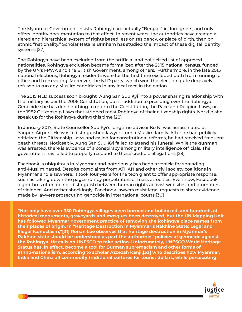The Myanmar Government insists Rohingya are actually "Bengali" ie, foreigners, and only offers identity documentation to that effect. In recent years, the authorities have created a tiered and hierarchical system of rights based less on residency, or place of birth, than on ethnic "nationality." Scholar Natalie Brinham has studied the impact of these digital identity systems.[27]

The Rohingya have been excluded from the artificial and politicized list of approved nationalities. Rohingya exclusion became formalized after the 2015 national census, funded by the UN's FPWA and the British Government, among others. Furthermore, in the late 2015 national elections, Rohingya residents were for the first time excluded both from running for office and from voting. Moreover, the NLD party, which won the election quite decisively, refused to run any Muslim candidates in any local race in the nation.

The 2015 NLD success soon brought Aung San Suu Kyi into a power sharing relationship with the military as per the 2008 Constitution, but in addition to presiding over the Rohingya Genocide she has done nothing to reform the Constitution, the Race and Religion Laws, or the 1982 Citizenship Laws that stripped most Rohingya of their citizenship rights. Nor did she speak up for the Rohingya during this time.[28]

In January 2017, State Counsellor Suu Kyi's longtime advisor Ko Ni was assassinated at Yangon Airport. He was a distinguished lawyer from a Muslim family. After he had publicly criticized the Citizenship Laws and called for constitutional reforms, he had received frequent death threats. Noticeably, Aung San Suu Kyi failed to attend his funeral. While the gunman was arrested, there is evidence of a conspiracy among military intelligence officials. The government has failed to properly respond to these credible allegations.[29]

Facebook is ubiquitous in Myanmar and notoriously has been a vehicle for spreading anti-Muslim hatred. Despite complaints from ATHAN and other civil society coalitions in Myanmar and elsewhere, it took four years for the tech giant to offer appropriate response, such as taking down the pages run by perpetrators of mass atrocities. Even now, Facebook algorithms often do not distinguish between human rights activist websites and promoters of violence. And rather shockingly, Facebook lawyers resist legal requests to share evidence made by lawyers prosecuting genocide in international courts.[30]

**"Not only have over 350 Rohingya villages been burned and bulldozed, and hundreds of historical monuments, graveyards and mosques been destroyed, but the UN Mapping Unit has followed Myanmar government practice of removing the Rohingya place names from their places of origin. In "Heritage Destruction in Myanmar's Rakhine State: Legal and Illegal Iconoclasm,"[31] Ronan Lee observes that heritage destruction in Myanmar's Rakhine state should be understood as part the authorities' policies of genocide against the Rohingya. He calls on UNESCO to take action. Unfortunately, UNESCO World Heritage Status has, in effect, become a tool for Burman supremacism and other forms of ethno-nationalism, according to scholar Azzezah Kanji,[32] who describes how Myanmar, India and China all commodify traditional cultures for tourist dollars, while persecuting** 

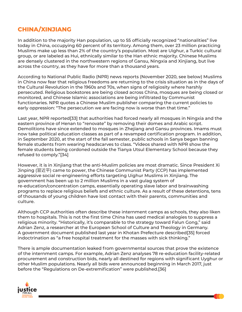# **CHINA/XINJIANG**

In addition to the majority Han population, up to 55 officially recognized "nationalities" live today in China, occupying 60 percent of its territory. Among them, over 23 million practicing Muslims make up less than 2% of the country's population. Most are Uighur, a Turkic cultural group, or are labeled as Hui, ethnically similar to the Han ethnic majority. Chinese Muslims are densely clustered in the northwestern regions of Gansu, Ningxia and Xinjiang, but live across the country, as they have for more than a thousand years.

According to National Public Radio (NPR) news reports (November 2020, see below) Muslims in China now fear that religious freedoms are returning to the crisis situation as in the days of the Cultural Revolution in the 1960s and 70s, when signs of religiosity where harshly persecuted. Religious bookstores are being closed across China, mosques are being closed or monitored, and Chinese Islamic associations are being infiltrated by Communist functionaries. NPR quotes a Chinese Muslim publisher comparing the current policies to early oppression: "The persecution we are facing now is worse than that time."

Last year, NPR reported[33] that authorities had forced nearly all mosques in Ningxia and the eastern province of Henan to "renovate" by removing their domes and Arabic script. Demolitions have since extended to mosques in Zhejiang and Gansu provinces. Imams must now take political education classes as part of a revamped certification program. In addition, in September 2020, at the start of the fall semester, public schools in Sanya began banning female students from wearing headscarves to class. "Videos shared with NPR show the female students being cordoned outside the Tianya Utsul Elementary School because they refused to comply."[34]

However, it is in Xinjiang that the anti-Muslim policies are most dramatic. Since President Xi Jinping (習近平) came to power, the Chinese Communist Party (CCP) has implemented aggressive social re-engineering efforts targeting Uighur Muslims in Xinjiang. The government has been up to 2 million Muslims in a vast gulag system of re-education/concentration camps, essentially operating slave labor and brainwashing programs to replace religious beliefs and ethnic culture. As a result of these detentions, tens of thousands of young children have lost contact with their parents, communities and culture.

Although CCP authorities often describe these internment camps as schools, they also liken them to hospitals. This is not the first time China has used medical analogies to suppress a religious minority. "Historically, it's comparable to the strategy toward Falun Gong," said Adrian Zenz, a researcher at the European School of Culture and Theology in Germany. A government document published last year in Khotan Prefecture described[35] forced indoctrination as "a free hospital treatment for the masses with sick thinking."

There is ample documentation leaked from governmental sources that prove the existence of the internment camps. For example, Adrian Zenz analyses 78 re-education facility-related procurement and construction bids, nearly all destined for regions with significant Uyghur or other Muslim populations. Nearly all bids were announced beginning in March 2017, just before the "Regulations on De-extremification" were published.[36]

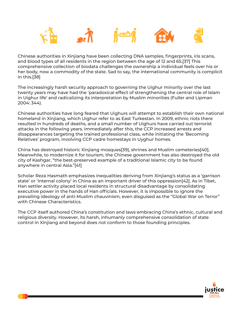

Chinese authorities in Xinjiang have been collecting DNA samples, fingerprints, iris scans, and blood types of all residents in the region between the age of 12 and 65.[37] This comprehensive collection of biodata challenges the ownership a individual feels over his or her body, now a commodity of the state. Sad to say, the international community is complicit in this.[38]

The increasingly harsh security approach to governing the Uighur minority over the last twenty years may have had the 'paradoxical effect of strengthening the central role of Islam in Uighur life' and radicalizing its interpretation by Muslim minorities (Fuller and Lipman 2004: 344).

Chinese authorities have long feared that Uighurs will attempt to establish their own national homeland in Xinjiang, which Uighur refer to as East Turkestan. In 2009, ethnic riots there resulted in hundreds of deaths, and a small number of Uighurs have carried out terrorist attacks in the following years. Immediately after this, the CCP increased arrests and disappearances targeting the trained professional class, while initiating the 'Becoming Relatives' program, involving CCP cadre homestays in Uyghur homes.

China has destroyed historic Xinjiang mosques[39], shrines and Muslim cemeteries[40]. Meanwhile, to modernize it for tourism, the Chinese government has also destroyed the old city of Kashgar, "the best-preserved example of a traditional Islamic city to be found anywhere in central Asia."[41]

Scholar Reza Hasmath emphasizes inequalities deriving from Xinjiang's status as a 'garrison state' or 'internal colony' in China as an important driver of this oppression[42]. As in Tibet, Han settler activity placed local residents in structural disadvantage by consolidating executive power in the hands of Han officials. However, it is impossible to ignore the prevailing ideology of anti-Muslim chauvinism, even disguised as the "Global War on Terror" with Chinese Characteristics.

The CCP itself authored China's constitution and laws embracing China's ethnic, cultural and religious diversity. However, its harsh, inhumanly comprehensive consolidation of state control in Xinjiang and beyond does not conform to those founding principles.

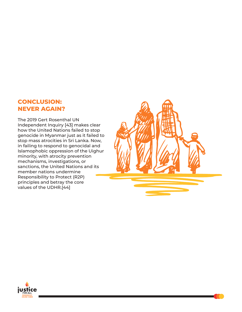## **CONCLUSION: NEVER AGAIN?**

The 2019 Gert Rosenthal UN Independent Inquiry [43] makes clear how the United Nations failed to stop genocide in Myanmar just as it failed to stop mass atrocities in Sri Lanka. Now, in failing to respond to genocidal and Islamophobic oppression of the Uighur minority, with atrocity prevention mechanisms, investigations, or sanctions, the United Nations and its member nations undermine Responsibility to Protect (R2P) principles and betray the core values of the UDHR.[44]



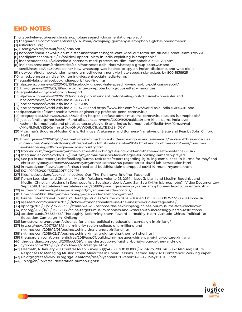# **END NOTES**

- [1] crg.berkeley.edu/research/islamophobia-research-documentation-project/
- [2] theguardian.com/commentisfree/2020/mar/27/xinjiang-germany-islamophobia-global-phenomenon
- [3] usticeforall.org
- [4] uscirf.gov/sites/default/files/India.pdf
- [5] ndtv.com/india-news/union-minister-anantkumar-hegde-cant-wipe-out-terrorism-till-we-uproot-islam-1785351
- [6] thediplomat.com/2019/05/political-opportunism-in-india-exploiting-islamophobia/
- [7] independent.co.uk/voices/india-narendra-modi-protests-muslim-islamophobia-a9251701.html
- [8] indianexpress.com/article/cities/delhi/northeast-delhi-riots-whatsapp-group-6488320/ and
- scroll.in/article/942300/explainer-how-whatsapp-was-hacked-to-spy-on-indian-dissidents-and-who-did-it
- [9] ndtv.com/india-news/under-narendra-modi-government-vip-hate-speech-skyrockets-by-500-1838925
- [10] wired.com/story/indias-frightening-descent-social-media-terror/
- [11] equalitylabs.org/facebookindiareport/#key-findings
- [12] aljazeera.com/news/2020/08/15/facebook-ignored-hate-speech-by-indias-bjp-politicians-report/
- [13] hrw.org/news/2019/02/19/india-vigilante-cow-protection-groups-attack-minorities
- [14] equalitylabs.org/facebookindiareport
- [15] aljazeera.com/news/2020/11/13/india-top-court-under-fire-for-bailing-out-divisive-tv-presenter and bbc.com/news/world-asia-india-54865071
- [16] bbc.com/news/world-asia-india-52061915
- [17] bbc.com/news/world-asia-india-52147260 and https://www.bbc.com/news/world-asia-india-53165436 and thedp.com/article/islamaphobia-tweet-engineering-professor-penn-coronavirus
- [18] telegraph.co.uk/news/2020/04/19/indian-hospitals-refuse-admit-muslims-coronavirus-causes-islamophobia/
- [19] justiceforall.org/free-kashmir/ and aljazeera.com/news/2020/9/25/pakistan-pm-khan-slams-india-over kashmir-islamophobia and phobiacenter.org/covid-19-and-indias-islamophobia/?fbclid=IwAR2mzehVxj cYMpRb9elbY52QXmmmztDdyQNtWWDi1bC1kgIzXBZk59jiDGY
- [20]Myanmar's Buddhist-Muslim Crisis: Rohingya, Arakanese, and Burmese Narratives of Siege and Fear by John Clifford Holt |
- [21] hrw.org/news/2017/05/08/burma-two-islamic-schools-shuttered-rangoon and asianews.it/news-en/Three-mosques -closed- near-Yangon-following-threats-by-Buddhist-nationalists-47042.html and mmtimes.com/news/muslims seek-reopening-100-mosques-across-country.html
- [22] trtworld.com/magazine/myanmar-blames-the-rohingya-for-covid-19-and-that-s-a-death-sentence-39843
- [23] theguardian.com/world/2017/jun/02/myanmar-muslims-face-charges-for-holding-ramadan-prayers
- [24] See p.9 in our report justiceforall.org/burma-task-force/report-regarding-icj-ruling-compliance-in-burma-for-may/ and christianitytoday.com/news/2020/may/myanmar-coronavirus-pastor-arrest-david-lah-persecution.html
- [25] irrawaddy.com/news/burma/artists-freed-anti-buddhist-claims-dropped-covid-19-mural-myanmar.html
- [26] DOI: 10.1080/00472336.2017.1297476
- [27] files.institutesi.org/Locked\_In\_Locked\_Out\_The\_Rohingya\_Briefing\_Paper.pdf
- [28] Ronan Lee, Islam and Christian–Muslim Relations Volume 25, 2014 Issue 3: Islam and Muslim-Buddhist and Muslim-Christian relations in Southeast Asia See also video Is Aung San Suu Kyi An Islamophobe? | Video Documentary Sept 2019, The Stateless thestateless.com/2019/06/is-aung-san-suu-kyi-an-islamophobe-video-documentary.html [29] reuters.com/investigates/special-report/myanmar-murder-politics/
- 
- [30] time.com/5880118/myanmar-rohingya-genocide-facebook-gambia/
- [31] Journal International Journal of Heritage Studies Volume 26, 2020 Issue 5 DOI: 10.1080/13527258.2019.1666294
- [32] aljazeera.com/opinions/2019/8/4/how-ethnonationalists-use-the-unesco-world-heritage-label/
- [33] npr.org/2019/09/26/763356996/afraid-we-will-become-the-next-xinjiang-chinas-hui-muslims-face-crackdown
- [34] npr.org/2020/11/21/932169863/china-targets-muslim-scholars-and-writers-with-increasingly-harsh-restrictions
- [35] academia.edu/36638456/\_Thoroughly\_Reforming\_them\_Toward\_a\_Healthy\_Heart\_Attitude\_Chinas\_Political\_Re\_ Education\_Campaign\_in\_Xinjiang
- [36] jamestown.org/program/evidence-for-chinas-political-re-education-campaign-in-xinjiang/
- [37] hrw.org/news/2017/12/13/china-minority-region-collects-dna-millions and
- nytimes.com/2019/12/03/business/china-dna-uighurs-xinjiang.html
- [38] nytimes.com/2019/02/21/business/china-xinjiang-uighur-dna-thermo-fisher.html
- [39] theguardian.com/commentisfree/2019/apr/07/bulldozing-mosques-china-war-uighur-culture-xinjiang
- [40] theguardian.com/world/2019/oct/09/chinas-destruction-of-uighur-burial-grounds-then-and-now
- [41] nytimes.com/2009/05/28/world/asia/28kashgar.html
- [42] Hasmath, R January 2019 Central Asian Survey 38(1):46-60 DOI: 10.1080/02634937.2018.1496067 Also see; Future Responses to Managing Muslim Ethnic Minorities in China: Lessons Learned July 2020 Conference: Working Paper.
- [43] un.org/sg/sites/www.un.org.sg/files/atoms/files/Myanmar%20Report%20-%20May%202019.pdf
- [44] un.org/en/universal-declaration-human-rights/